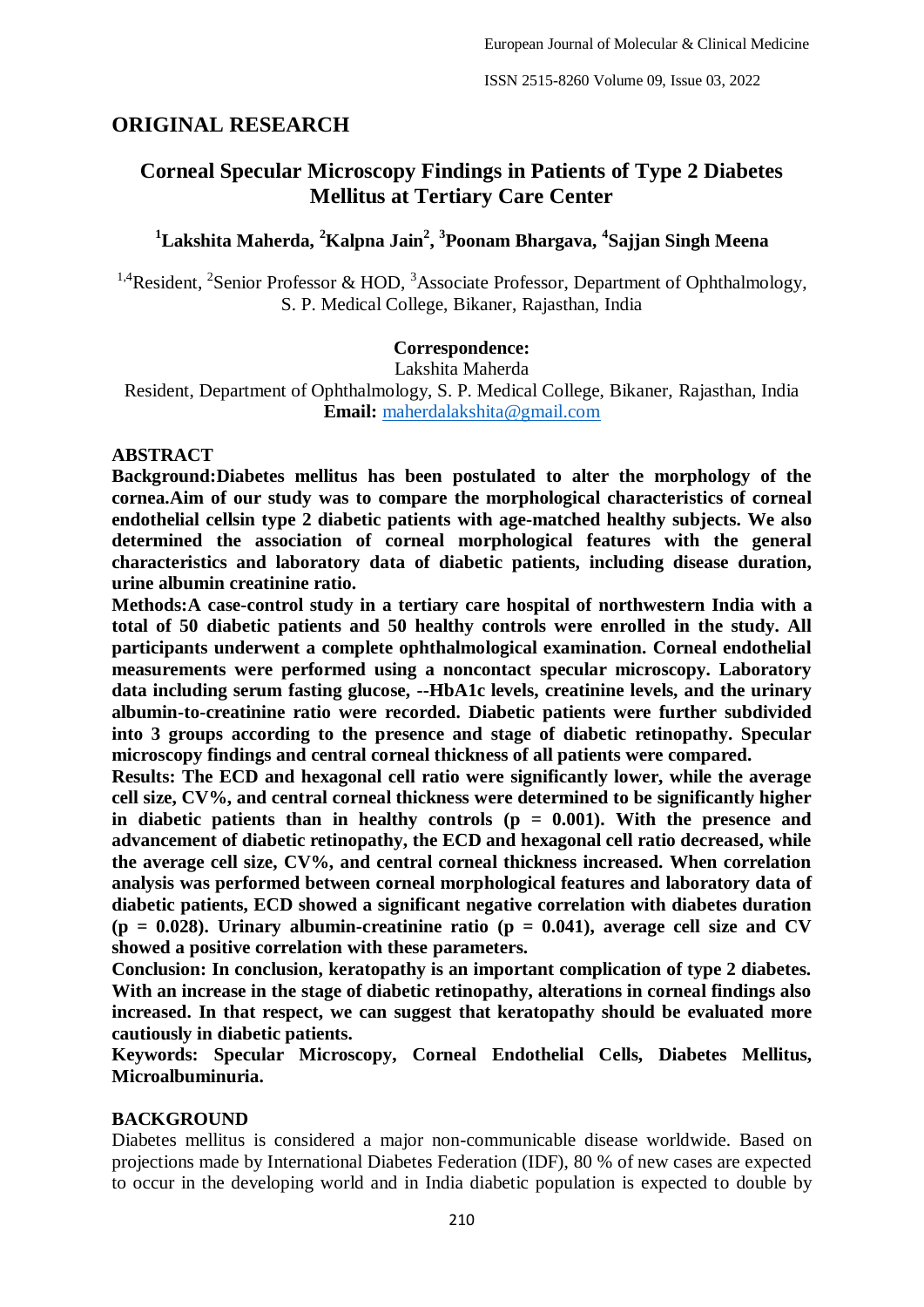# **ORIGINAL RESEARCH**

# **Corneal Specular Microscopy Findings in Patients of Type 2 Diabetes Mellitus at Tertiary Care Center**

# **<sup>1</sup>Lakshita Maherda, <sup>2</sup>Kalpna Jain<sup>2</sup> , 3 Poonam Bhargava, <sup>4</sup> Sajjan Singh Meena**

<sup>1,4</sup>Resident, <sup>2</sup>Senior Professor & HOD, <sup>3</sup>Associate Professor, Department of Ophthalmology, S. P. Medical College, Bikaner, Rajasthan, India

#### **Correspondence:**

Lakshita Maherda

Resident, Department of Ophthalmology, S. P. Medical College, Bikaner, Rajasthan, India **Email:** [maherdalakshita@gmail.com](about:blank)

#### **ABSTRACT**

**Background:Diabetes mellitus has been postulated to alter the morphology of the cornea.Aim of our study was to compare the morphological characteristics of corneal endothelial cellsin type 2 diabetic patients with age-matched healthy subjects. We also determined the association of corneal morphological features with the general characteristics and laboratory data of diabetic patients, including disease duration, urine albumin creatinine ratio.** 

**Methods:A case-control study in a tertiary care hospital of northwestern India with a total of 50 diabetic patients and 50 healthy controls were enrolled in the study. All participants underwent a complete ophthalmological examination. Corneal endothelial measurements were performed using a noncontact specular microscopy. Laboratory data including serum fasting glucose, --HbA1c levels, creatinine levels, and the urinary albumin-to-creatinine ratio were recorded. Diabetic patients were further subdivided into 3 groups according to the presence and stage of diabetic retinopathy. Specular microscopy findings and central corneal thickness of all patients were compared.** 

**Results: The ECD and hexagonal cell ratio were significantly lower, while the average cell size, CV%, and central corneal thickness were determined to be significantly higher**  in diabetic patients than in healthy controls  $(p = 0.001)$ . With the presence and **advancement of diabetic retinopathy, the ECD and hexagonal cell ratio decreased, while the average cell size, CV%, and central corneal thickness increased. When correlation analysis was performed between corneal morphological features and laboratory data of diabetic patients, ECD showed a significant negative correlation with diabetes duration**   $(p = 0.028)$ . Urinary albumin-creatinine ratio  $(p = 0.041)$ , average cell size and CV **showed a positive correlation with these parameters.** 

**Conclusion: In conclusion, keratopathy is an important complication of type 2 diabetes. With an increase in the stage of diabetic retinopathy, alterations in corneal findings also increased. In that respect, we can suggest that keratopathy should be evaluated more cautiously in diabetic patients.** 

**Keywords: Specular Microscopy, Corneal Endothelial Cells, Diabetes Mellitus, Microalbuminuria.**

#### **BACKGROUND**

Diabetes mellitus is considered a major non-communicable disease worldwide. Based on projections made by International Diabetes Federation (IDF), 80 % of new cases are expected to occur in the developing world and in India diabetic population is expected to double by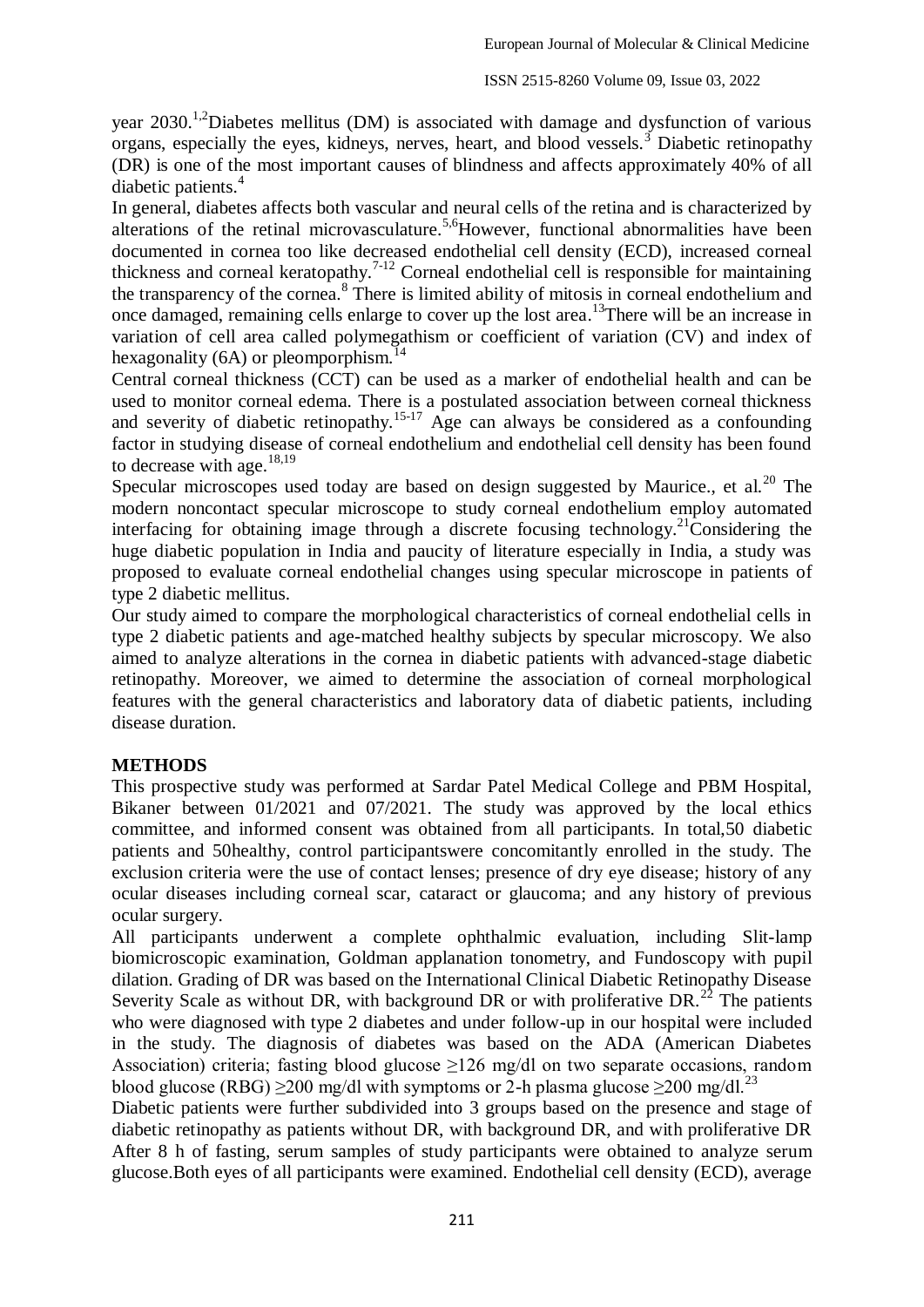year  $2030$ <sup>1,2</sup>Diabetes mellitus (DM) is associated with damage and dysfunction of various organs, especially the eyes, kidneys, nerves, heart, and blood vessels.<sup>3</sup> Diabetic retinopathy (DR) is one of the most important causes of blindness and affects approximately 40% of all diabetic patients.<sup>4</sup>

In general, diabetes affects both vascular and neural cells of the retina and is characterized by alterations of the retinal microvasculature.<sup>5,6</sup>However, functional abnormalities have been documented in cornea too like decreased endothelial cell density (ECD), increased corneal thickness and corneal keratopathy.<sup>7-12</sup> Corneal endothelial cell is responsible for maintaining the transparency of the cornea.<sup>8</sup> There is limited ability of mitosis in corneal endothelium and once damaged, remaining cells enlarge to cover up the lost area. <sup>13</sup>There will be an increase in variation of cell area called polymegathism or coefficient of variation (CV) and index of hexagonality (6A) or pleomporphism.<sup>14</sup>

Central corneal thickness (CCT) can be used as a marker of endothelial health and can be used to monitor corneal edema. There is a postulated association between corneal thickness and severity of diabetic retinopathy.<sup>15-17</sup> Age can always be considered as a confounding factor in studying disease of corneal endothelium and endothelial cell density has been found to decrease with age. $18,19$ 

Specular microscopes used today are based on design suggested by Maurice., et al.<sup>20</sup> The modern noncontact specular microscope to study corneal endothelium employ automated interfacing for obtaining image through a discrete focusing technology.<sup>21</sup>Considering the huge diabetic population in India and paucity of literature especially in India, a study was proposed to evaluate corneal endothelial changes using specular microscope in patients of type 2 diabetic mellitus.

Our study aimed to compare the morphological characteristics of corneal endothelial cells in type 2 diabetic patients and age-matched healthy subjects by specular microscopy. We also aimed to analyze alterations in the cornea in diabetic patients with advanced-stage diabetic retinopathy. Moreover, we aimed to determine the association of corneal morphological features with the general characteristics and laboratory data of diabetic patients, including disease duration.

# **METHODS**

This prospective study was performed at Sardar Patel Medical College and PBM Hospital, Bikaner between 01/2021 and 07/2021. The study was approved by the local ethics committee, and informed consent was obtained from all participants. In total,50 diabetic patients and 50healthy, control participantswere concomitantly enrolled in the study. The exclusion criteria were the use of contact lenses; presence of dry eye disease; history of any ocular diseases including corneal scar, cataract or glaucoma; and any history of previous ocular surgery.

All participants underwent a complete ophthalmic evaluation, including Slit-lamp biomicroscopic examination, Goldman applanation tonometry, and Fundoscopy with pupil dilation. Grading of DR was based on the International Clinical Diabetic Retinopathy Disease Severity Scale as without DR, with background DR or with proliferative DR.<sup>22</sup> The patients who were diagnosed with type 2 diabetes and under follow-up in our hospital were included in the study. The diagnosis of diabetes was based on the ADA (American Diabetes Association) criteria; fasting blood glucose  $\geq$ 126 mg/dl on two separate occasions, random blood glucose (RBG) > 200 mg/dl with symptoms or 2-h plasma glucose > 200 mg/dl.<sup>23</sup>

Diabetic patients were further subdivided into 3 groups based on the presence and stage of diabetic retinopathy as patients without DR, with background DR, and with proliferative DR After 8 h of fasting, serum samples of study participants were obtained to analyze serum glucose.Both eyes of all participants were examined. Endothelial cell density (ECD), average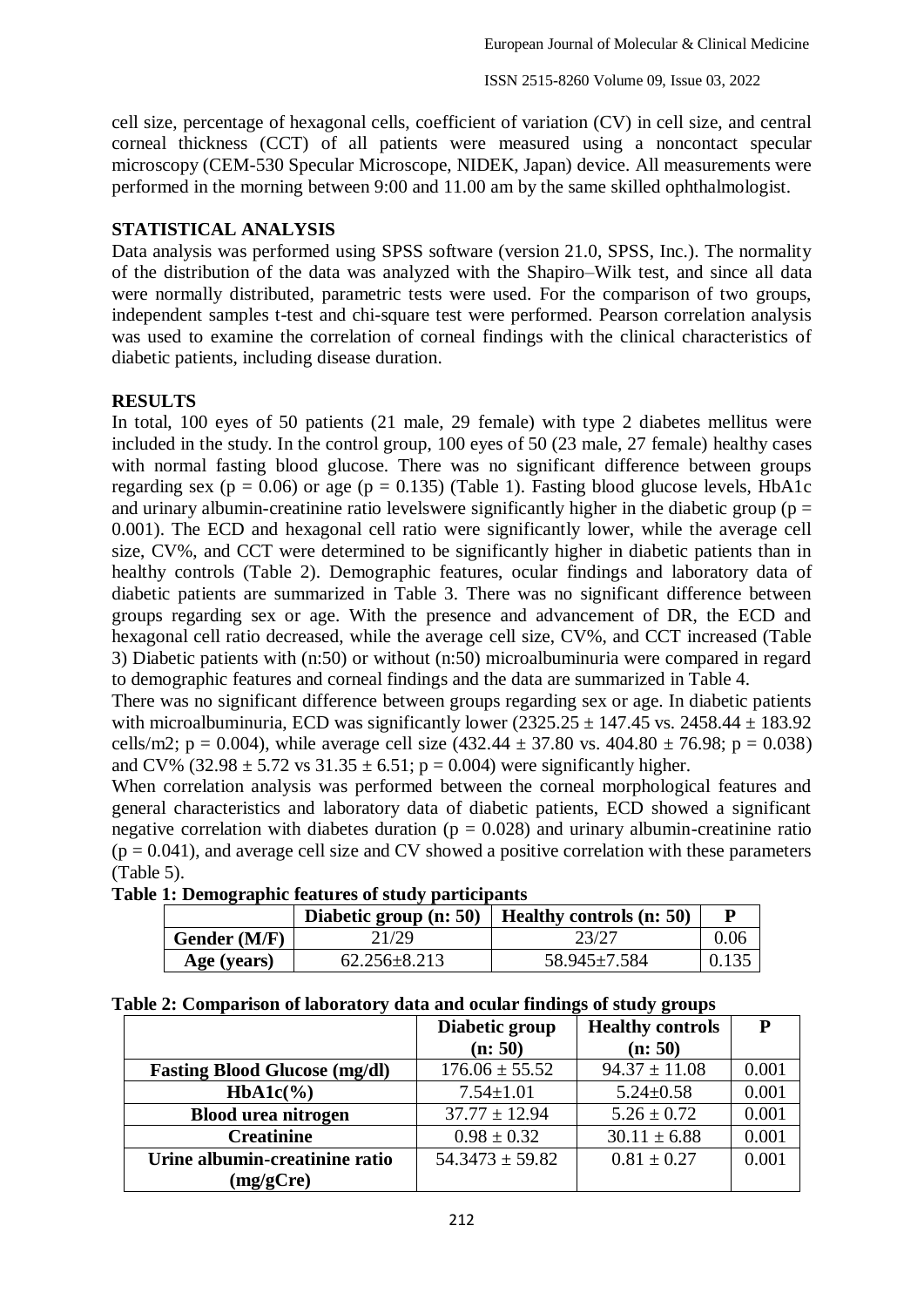cell size, percentage of hexagonal cells, coefficient of variation (CV) in cell size, and central corneal thickness (CCT) of all patients were measured using a noncontact specular microscopy (CEM-530 Specular Microscope, NIDEK, Japan) device. All measurements were performed in the morning between 9:00 and 11.00 am by the same skilled ophthalmologist.

### **STATISTICAL ANALYSIS**

Data analysis was performed using SPSS software (version 21.0, SPSS, Inc.). The normality of the distribution of the data was analyzed with the Shapiro–Wilk test, and since all data were normally distributed, parametric tests were used. For the comparison of two groups, independent samples t-test and chi-square test were performed. Pearson correlation analysis was used to examine the correlation of corneal findings with the clinical characteristics of diabetic patients, including disease duration.

### **RESULTS**

In total, 100 eyes of 50 patients (21 male, 29 female) with type 2 diabetes mellitus were included in the study. In the control group, 100 eyes of 50 (23 male, 27 female) healthy cases with normal fasting blood glucose. There was no significant difference between groups regarding sex ( $p = 0.06$ ) or age ( $p = 0.135$ ) (Table 1). Fasting blood glucose levels, HbA1c and urinary albumin-creatinine ratio levelswere significantly higher in the diabetic group ( $p =$ 0.001). The ECD and hexagonal cell ratio were significantly lower, while the average cell size, CV%, and CCT were determined to be significantly higher in diabetic patients than in healthy controls (Table 2). Demographic features, ocular findings and laboratory data of diabetic patients are summarized in Table 3. There was no significant difference between groups regarding sex or age. With the presence and advancement of DR, the ECD and hexagonal cell ratio decreased, while the average cell size, CV%, and CCT increased (Table 3) Diabetic patients with (n:50) or without (n:50) microalbuminuria were compared in regard to demographic features and corneal findings and the data are summarized in Table 4.

There was no significant difference between groups regarding sex or age. In diabetic patients with microalbuminuria, ECD was significantly lower  $(2325.25 \pm 147.45 \text{ vs. } 2458.44 \pm 183.92 \text{ s})$ cells/m2; p = 0.004), while average cell size  $(432.44 \pm 37.80 \text{ vs. } 404.80 \pm 76.98; \text{ p} = 0.038)$ and CV% (32.98  $\pm$  5.72 vs 31.35  $\pm$  6.51; p = 0.004) were significantly higher.

When correlation analysis was performed between the corneal morphological features and general characteristics and laboratory data of diabetic patients, ECD showed a significant negative correlation with diabetes duration ( $p = 0.028$ ) and urinary albumin-creatinine ratio  $(p = 0.041)$ , and average cell size and CV showed a positive correlation with these parameters (Table 5).

| Table 1: Demographic features of study participants |  |  |
|-----------------------------------------------------|--|--|
|                                                     |  |  |

|              |                    | Diabetic group $(n: 50)$   Healthy controls $(n: 50)$ |       |
|--------------|--------------------|-------------------------------------------------------|-------|
| Gender (M/F) | 21/29              | 23/27                                                 | 0.06  |
| Age (years)  | $62.256 \pm 8.213$ | 58.945±7.584                                          | 0.135 |

#### **Table 2: Comparison of laboratory data and ocular findings of study groups**

|                                      | Diabetic group      | <b>Healthy controls</b> | P     |
|--------------------------------------|---------------------|-------------------------|-------|
|                                      | (n: 50)             | (n: 50)                 |       |
| <b>Fasting Blood Glucose (mg/dl)</b> | $176.06 \pm 55.52$  | $94.37 \pm 11.08$       | 0.001 |
| $HbA1c(\%)$                          | $7.54 \pm 1.01$     | $5.24 \pm 0.58$         | 0.001 |
| <b>Blood urea nitrogen</b>           | $37.77 \pm 12.94$   | $5.26 \pm 0.72$         | 0.001 |
| <b>Creatinine</b>                    | $0.98 \pm 0.32$     | $30.11 \pm 6.88$        | 0.001 |
| Urine albumin-creatinine ratio       | $54.3473 \pm 59.82$ | $0.81 \pm 0.27$         | 0.001 |
| (mg/gCre)                            |                     |                         |       |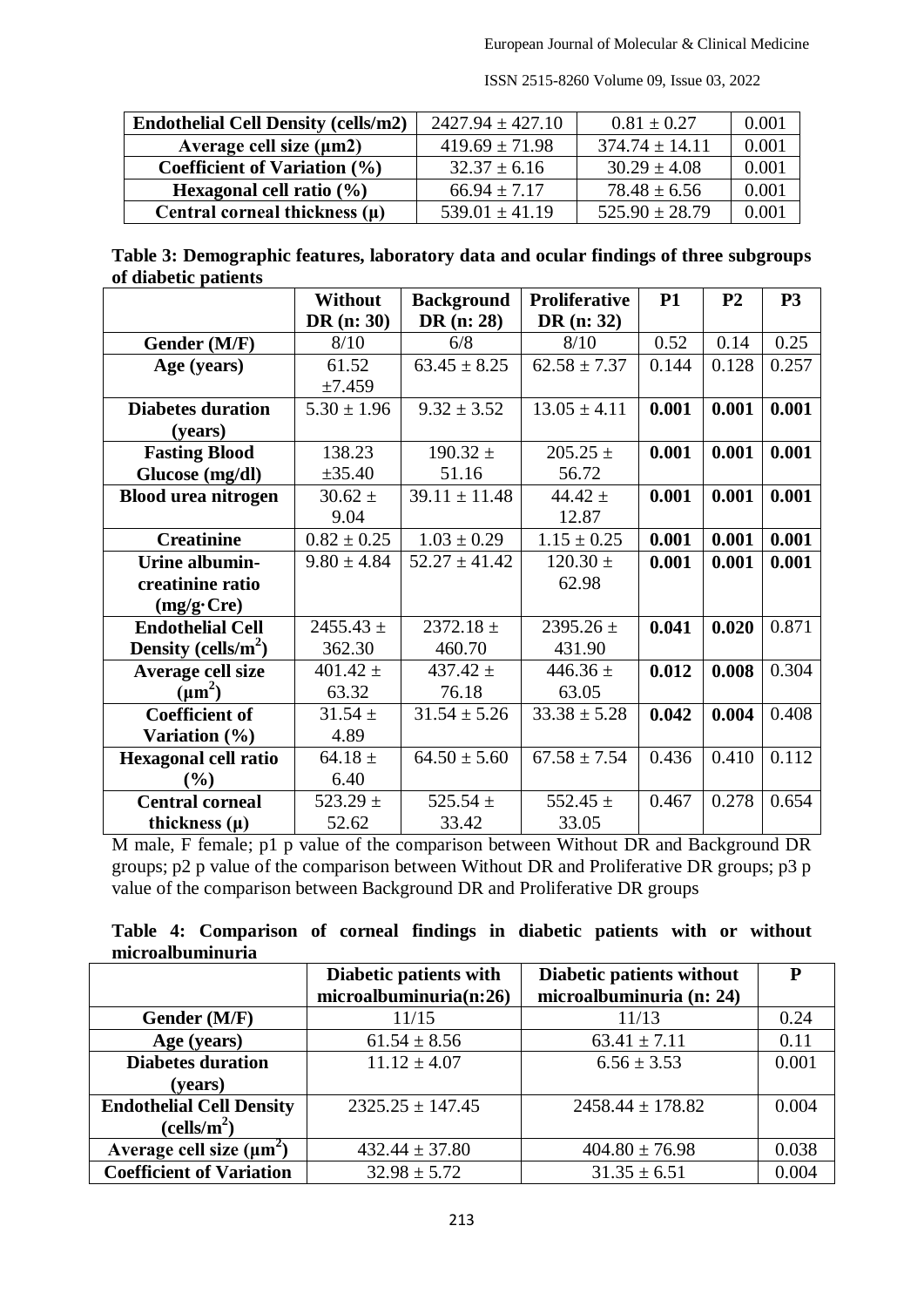| <b>Endothelial Cell Density (cells/m2)</b> | $2427.94 \pm 427.10$ | $0.81 \pm 0.27$    | 0.001 |
|--------------------------------------------|----------------------|--------------------|-------|
| Average cell size $(\mu m2)$               | $419.69 \pm 71.98$   | $374.74 \pm 14.11$ | 0.001 |
| Coefficient of Variation $(\% )$           | $32.37 \pm 6.16$     | $30.29 \pm 4.08$   | 0.001 |
| Hexagonal cell ratio $(\% )$               | $66.94 \pm 7.17$     | $78.48 \pm 6.56$   | 0.001 |
| Central corneal thickness $(\mu)$          | $539.01 + 41.19$     | $525.90 \pm 28.79$ | 0.001 |

ISSN 2515-8260 Volume 09, Issue 03, 2022

| Table 3: Demographic features, laboratory data and ocular findings of three subgroups |  |  |
|---------------------------------------------------------------------------------------|--|--|
| of diabetic patients                                                                  |  |  |

|                             | <b>Without</b>  | <b>Background</b> | <b>Proliferative</b> | <b>P1</b> | P <sub>2</sub> | <b>P3</b> |
|-----------------------------|-----------------|-------------------|----------------------|-----------|----------------|-----------|
|                             | DR $(n: 30)$    | DR (n: 28)        | DR $(n: 32)$         |           |                |           |
| Gender (M/F)                | 8/10            | 6/8               | 8/10                 | 0.52      | 0.14           | 0.25      |
| Age (years)                 | 61.52           | $63.45 \pm 8.25$  | $62.58 \pm 7.37$     | 0.144     | 0.128          | 0.257     |
|                             | ±7.459          |                   |                      |           |                |           |
| <b>Diabetes duration</b>    | $5.30 \pm 1.96$ | $9.32 \pm 3.52$   | $13.05 \pm 4.11$     | 0.001     | 0.001          | 0.001     |
| (years)                     |                 |                   |                      |           |                |           |
| <b>Fasting Blood</b>        | 138.23          | $190.32 \pm$      | $205.25 \pm$         | 0.001     | 0.001          | 0.001     |
| Glucose (mg/dl)             | ±35.40          | 51.16             | 56.72                |           |                |           |
| <b>Blood urea nitrogen</b>  | $30.62 \pm$     | $39.11 \pm 11.48$ | 44.42 $\pm$          | 0.001     | 0.001          | 0.001     |
|                             | 9.04            |                   | 12.87                |           |                |           |
| <b>Creatinine</b>           | $0.82 \pm 0.25$ | $1.03 \pm 0.29$   | $1.15 \pm 0.25$      | 0.001     | 0.001          | 0.001     |
| Urine albumin-              | $9.80 \pm 4.84$ | $52.27 \pm 41.42$ | $120.30 \pm$         | 0.001     | 0.001          | 0.001     |
| creatinine ratio            |                 |                   | 62.98                |           |                |           |
| $(mg/g$ ·Cre)               |                 |                   |                      |           |                |           |
| <b>Endothelial Cell</b>     | $2455.43 \pm$   | $2372.18 \pm$     | 2395.26 $\pm$        | 0.041     | 0.020          | 0.871     |
| Density (cells/ $m^2$ )     | 362.30          | 460.70            | 431.90               |           |                |           |
| Average cell size           | $401.42 \pm$    | 437.42 $\pm$      | 446.36 $\pm$         | 0.012     | 0.008          | 0.304     |
| $(\mu m^2)$                 | 63.32           | 76.18             | 63.05                |           |                |           |
| <b>Coefficient of</b>       | $31.54 \pm$     | $31.54 \pm 5.26$  | $33.38 \pm 5.28$     | 0.042     | 0.004          | 0.408     |
| Variation (%)               | 4.89            |                   |                      |           |                |           |
| <b>Hexagonal cell ratio</b> | 64.18 $\pm$     | $64.50 \pm 5.60$  | $67.58 \pm 7.54$     | 0.436     | 0.410          | 0.112     |
| $(\%)$                      | 6.40            |                   |                      |           |                |           |
| <b>Central corneal</b>      | 523.29 $\pm$    | 525.54 $\pm$      | 552.45 $\pm$         | 0.467     | 0.278          | 0.654     |
| thickness $(\mu)$           | 52.62           | 33.42             | 33.05                |           |                |           |

M male, F female; p1 p value of the comparison between Without DR and Background DR groups; p2 p value of the comparison between Without DR and Proliferative DR groups; p3 p value of the comparison between Background DR and Proliferative DR groups

|  | Table 4: Comparison of corneal findings in diabetic patients with or without |  |  |  |  |  |
|--|------------------------------------------------------------------------------|--|--|--|--|--|
|  | microalbuminuria                                                             |  |  |  |  |  |

|                                 | Diabetic patients with | Diabetic patients without | P     |
|---------------------------------|------------------------|---------------------------|-------|
|                                 | microalbuminuria(n:26) | microalbuminuria (n: 24)  |       |
| Gender (M/F)                    | 11/15                  | 11/13                     | 0.24  |
| Age (years)                     | $61.54 \pm 8.56$       | $63.41 \pm 7.11$          | 0.11  |
| <b>Diabetes duration</b>        | $11.12 \pm 4.07$       | $6.56 \pm 3.53$           | 0.001 |
| (years)                         |                        |                           |       |
| <b>Endothelial Cell Density</b> | $2325.25 \pm 147.45$   | $2458.44 \pm 178.82$      | 0.004 |
| (cells/m <sup>2</sup> )         |                        |                           |       |
| Average cell size $(\mu m^2)$   | $432.44 \pm 37.80$     | $404.80 \pm 76.98$        | 0.038 |
| <b>Coefficient of Variation</b> | $32.98 \pm 5.72$       | $31.35 \pm 6.51$          | 0.004 |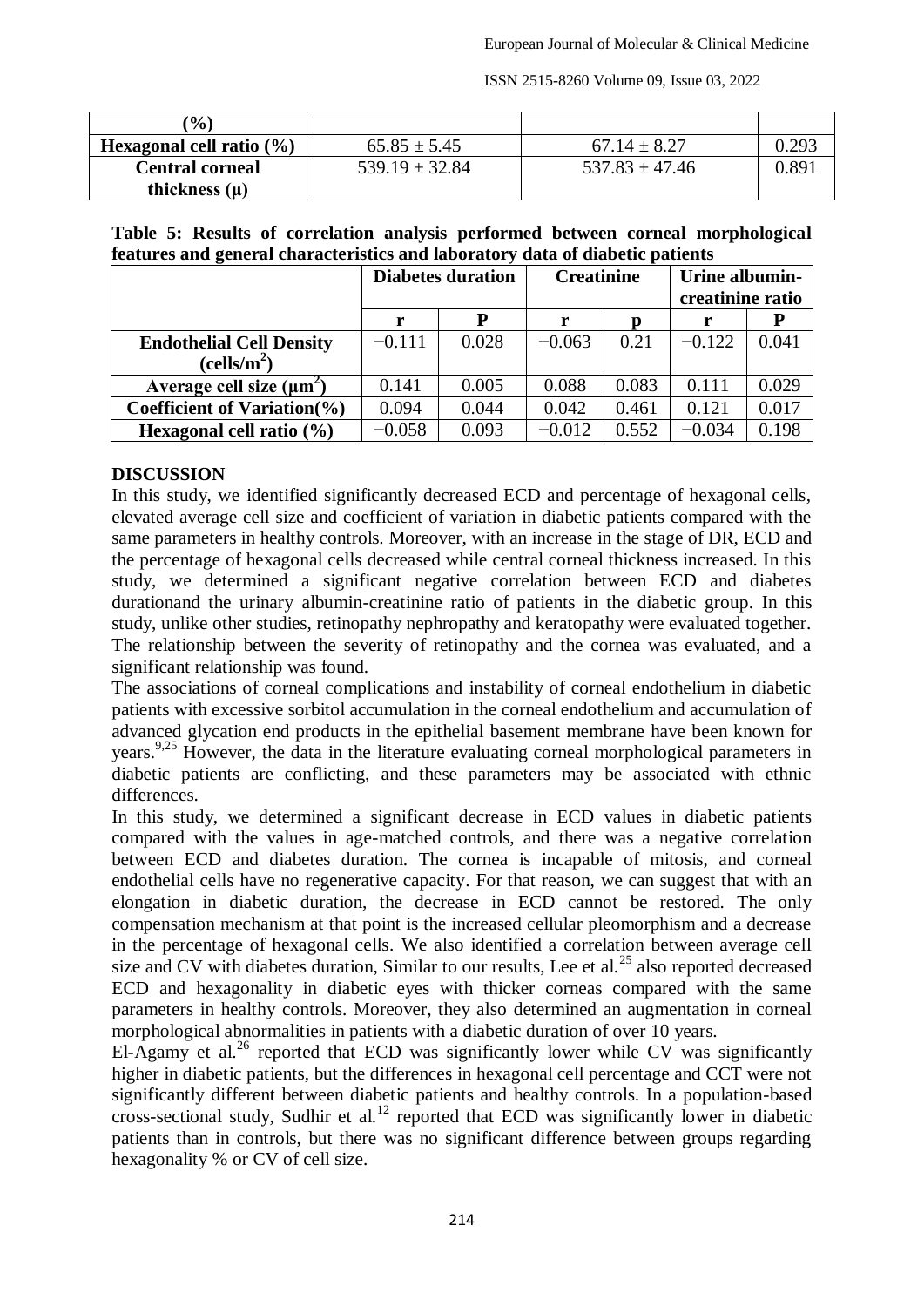ISSN 2515-8260 Volume 09, Issue 03, 2022

| $($ % $)$                    |                    |                    |       |
|------------------------------|--------------------|--------------------|-------|
| Hexagonal cell ratio $(\% )$ | $65.85 \pm 5.45$   | $67.14 \pm 8.27$   | 0.293 |
| <b>Central corneal</b>       | $539.19 \pm 32.84$ | $537.83 \pm 47.46$ | 0.89. |
| thickness $(\mu)$            |                    |                    |       |

## **Table 5: Results of correlation analysis performed between corneal morphological features and general characteristics and laboratory data of diabetic patients**

|                                  | <b>Diabetes duration</b> |       | <b>Creatinine</b> |       | Urine albumin-<br>creatinine ratio |       |  |
|----------------------------------|--------------------------|-------|-------------------|-------|------------------------------------|-------|--|
|                                  |                          | D     | n                 |       |                                    |       |  |
| <b>Endothelial Cell Density</b>  | $-0.111$                 | 0.028 | $-0.063$          | 0.21  | $-0.122$                           | 0.041 |  |
| (cells/m <sup>2</sup> )          |                          |       |                   |       |                                    |       |  |
| Average cell size $(\mu m^2)$    | 0.141                    | 0.005 | 0.088             | 0.083 | 0.111                              | 0.029 |  |
| Coefficient of Variation $(\% )$ | 0.094                    | 0.044 | 0.042             | 0.461 | 0.121                              | 0.017 |  |
| Hexagonal cell ratio $(\% )$     | $-0.058$                 | 0.093 | $-0.012$          | 0.552 | $-0.034$                           | 0.198 |  |

# **DISCUSSION**

In this study, we identified significantly decreased ECD and percentage of hexagonal cells, elevated average cell size and coefficient of variation in diabetic patients compared with the same parameters in healthy controls. Moreover, with an increase in the stage of DR, ECD and the percentage of hexagonal cells decreased while central corneal thickness increased. In this study, we determined a significant negative correlation between ECD and diabetes durationand the urinary albumin-creatinine ratio of patients in the diabetic group. In this study, unlike other studies, retinopathy nephropathy and keratopathy were evaluated together. The relationship between the severity of retinopathy and the cornea was evaluated, and a significant relationship was found.

The associations of corneal complications and instability of corneal endothelium in diabetic patients with excessive sorbitol accumulation in the corneal endothelium and accumulation of advanced glycation end products in the epithelial basement membrane have been known for years.<sup>9,25</sup> However, the data in the literature evaluating corneal morphological parameters in diabetic patients are conflicting, and these parameters may be associated with ethnic differences.

In this study, we determined a significant decrease in ECD values in diabetic patients compared with the values in age-matched controls, and there was a negative correlation between ECD and diabetes duration. The cornea is incapable of mitosis, and corneal endothelial cells have no regenerative capacity. For that reason, we can suggest that with an elongation in diabetic duration, the decrease in ECD cannot be restored. The only compensation mechanism at that point is the increased cellular pleomorphism and a decrease in the percentage of hexagonal cells. We also identified a correlation between average cell size and CV with diabetes duration, Similar to our results, Lee et al.<sup>25</sup> also reported decreased ECD and hexagonality in diabetic eyes with thicker corneas compared with the same parameters in healthy controls. Moreover, they also determined an augmentation in corneal morphological abnormalities in patients with a diabetic duration of over 10 years.

El-Agamy et al.<sup>26</sup> reported that ECD was significantly lower while CV was significantly higher in diabetic patients, but the differences in hexagonal cell percentage and CCT were not significantly different between diabetic patients and healthy controls. In a population-based cross-sectional study, Sudhir et al.<sup>12</sup> reported that ECD was significantly lower in diabetic patients than in controls, but there was no significant difference between groups regarding hexagonality % or CV of cell size.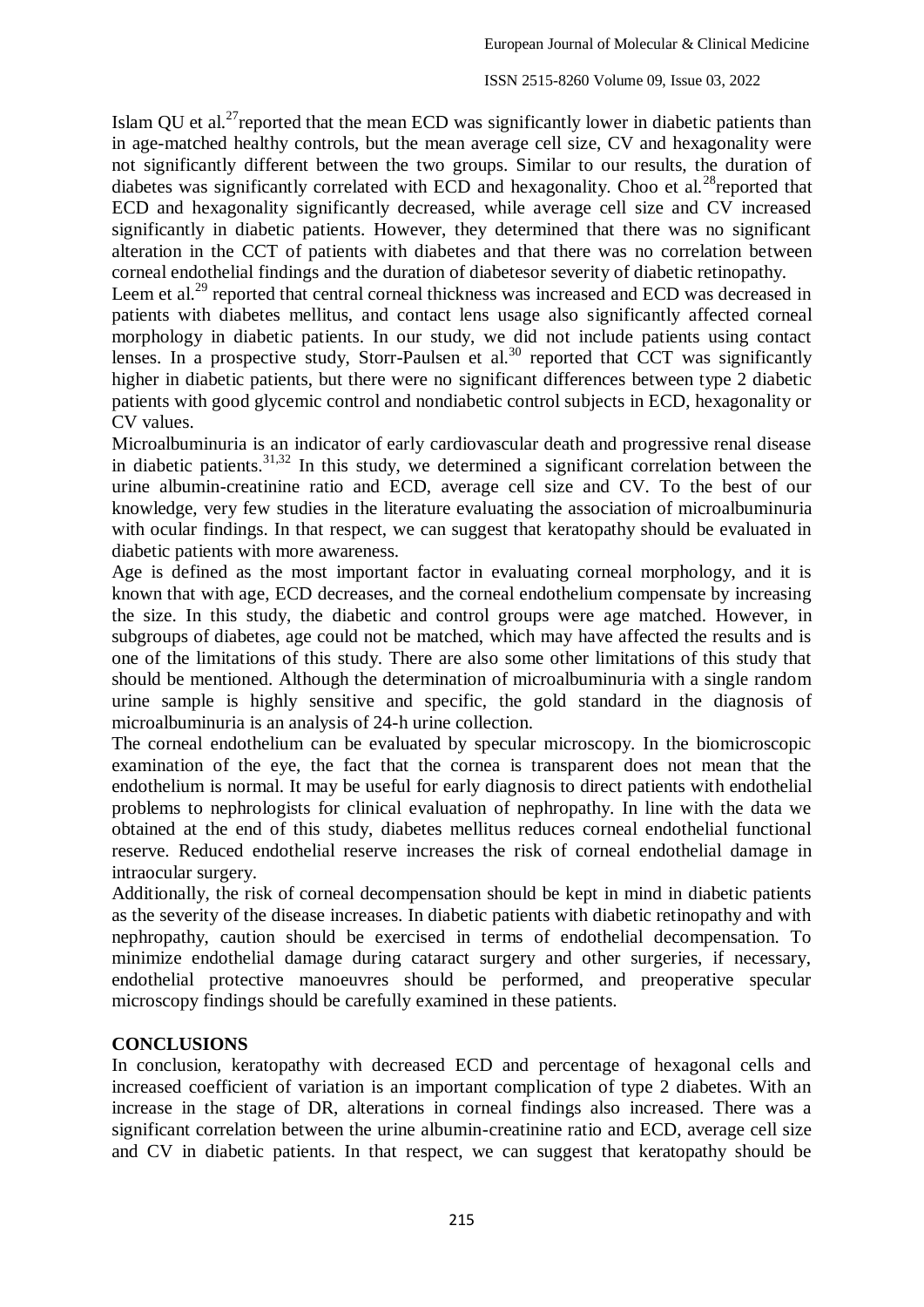Islam QU et al.<sup>27</sup> reported that the mean ECD was significantly lower in diabetic patients than in age-matched healthy controls, but the mean average cell size, CV and hexagonality were not significantly different between the two groups. Similar to our results, the duration of diabetes was significantly correlated with ECD and hexagonality. Choo et al.<sup>28</sup>reported that ECD and hexagonality significantly decreased, while average cell size and CV increased significantly in diabetic patients. However, they determined that there was no significant alteration in the CCT of patients with diabetes and that there was no correlation between corneal endothelial findings and the duration of diabetesor severity of diabetic retinopathy.

Leem et al.<sup>29</sup> reported that central corneal thickness was increased and ECD was decreased in patients with diabetes mellitus, and contact lens usage also significantly affected corneal morphology in diabetic patients. In our study, we did not include patients using contact lenses. In a prospective study, Storr-Paulsen et al.<sup>30</sup> reported that CCT was significantly higher in diabetic patients, but there were no significant differences between type 2 diabetic patients with good glycemic control and nondiabetic control subjects in ECD, hexagonality or CV values.

Microalbuminuria is an indicator of early cardiovascular death and progressive renal disease in diabetic patients.  $31,32$  In this study, we determined a significant correlation between the urine albumin-creatinine ratio and ECD, average cell size and CV. To the best of our knowledge, very few studies in the literature evaluating the association of microalbuminuria with ocular findings. In that respect, we can suggest that keratopathy should be evaluated in diabetic patients with more awareness.

Age is defined as the most important factor in evaluating corneal morphology, and it is known that with age, ECD decreases, and the corneal endothelium compensate by increasing the size. In this study, the diabetic and control groups were age matched. However, in subgroups of diabetes, age could not be matched, which may have affected the results and is one of the limitations of this study. There are also some other limitations of this study that should be mentioned. Although the determination of microalbuminuria with a single random urine sample is highly sensitive and specific, the gold standard in the diagnosis of microalbuminuria is an analysis of 24-h urine collection.

The corneal endothelium can be evaluated by specular microscopy. In the biomicroscopic examination of the eye, the fact that the cornea is transparent does not mean that the endothelium is normal. It may be useful for early diagnosis to direct patients with endothelial problems to nephrologists for clinical evaluation of nephropathy. In line with the data we obtained at the end of this study, diabetes mellitus reduces corneal endothelial functional reserve. Reduced endothelial reserve increases the risk of corneal endothelial damage in intraocular surgery.

Additionally, the risk of corneal decompensation should be kept in mind in diabetic patients as the severity of the disease increases. In diabetic patients with diabetic retinopathy and with nephropathy, caution should be exercised in terms of endothelial decompensation. To minimize endothelial damage during cataract surgery and other surgeries, if necessary, endothelial protective manoeuvres should be performed, and preoperative specular microscopy findings should be carefully examined in these patients.

# **CONCLUSIONS**

In conclusion, keratopathy with decreased ECD and percentage of hexagonal cells and increased coefficient of variation is an important complication of type 2 diabetes. With an increase in the stage of DR, alterations in corneal findings also increased. There was a significant correlation between the urine albumin-creatinine ratio and ECD, average cell size and CV in diabetic patients. In that respect, we can suggest that keratopathy should be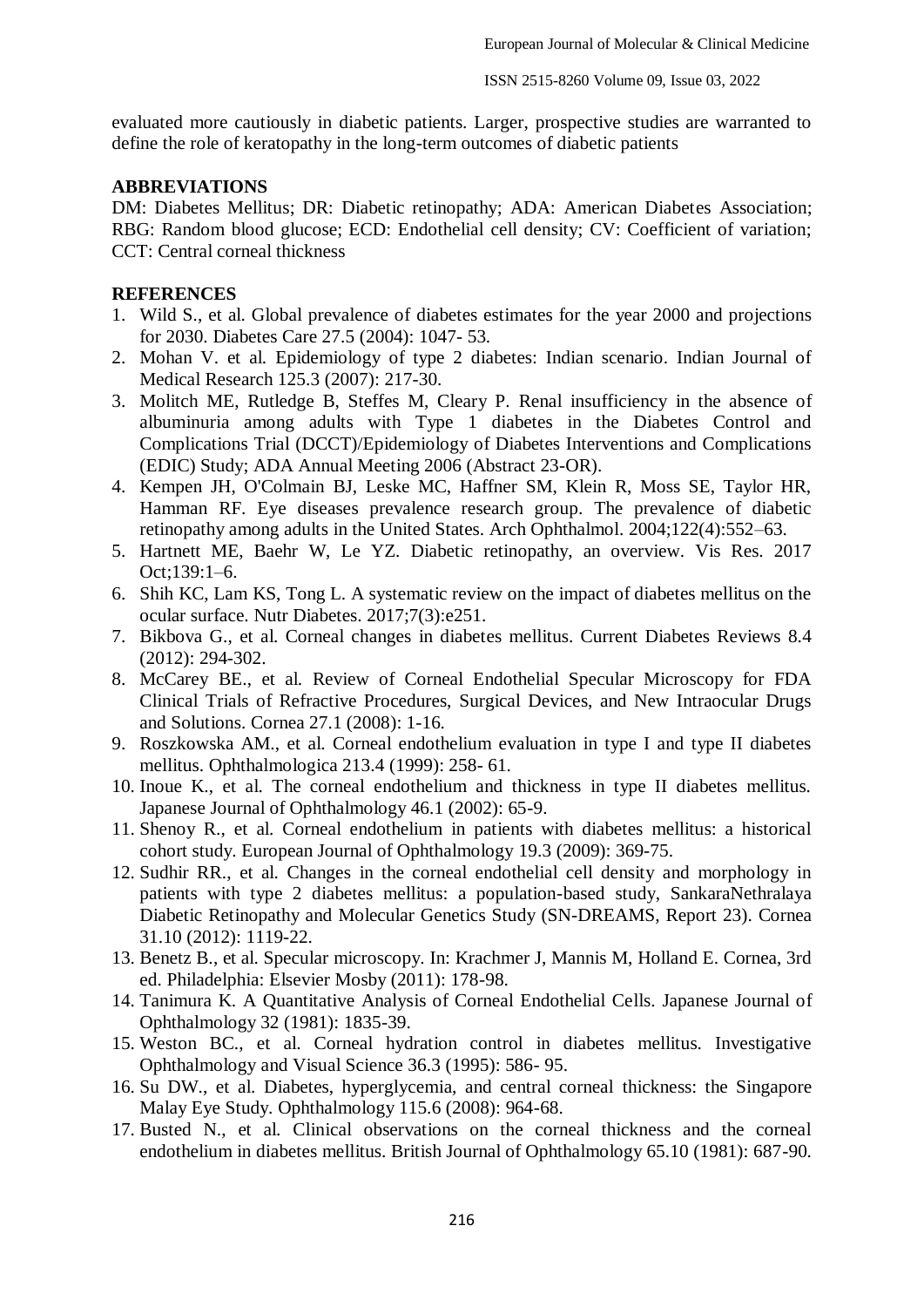evaluated more cautiously in diabetic patients. Larger, prospective studies are warranted to define the role of keratopathy in the long-term outcomes of diabetic patients

### **ABBREVIATIONS**

DM: Diabetes Mellitus; DR: Diabetic retinopathy; ADA: American Diabetes Association; RBG: Random blood glucose; ECD: Endothelial cell density; CV: Coefficient of variation; CCT: Central corneal thickness

## **REFERENCES**

- 1. Wild S., et al. Global prevalence of diabetes estimates for the year 2000 and projections for 2030. Diabetes Care 27.5 (2004): 1047- 53.
- 2. Mohan V. et al. Epidemiology of type 2 diabetes: Indian scenario. Indian Journal of Medical Research 125.3 (2007): 217-30.
- 3. Molitch ME, Rutledge B, Steffes M, Cleary P. Renal insufficiency in the absence of albuminuria among adults with Type 1 diabetes in the Diabetes Control and Complications Trial (DCCT)/Epidemiology of Diabetes Interventions and Complications (EDIC) Study; ADA Annual Meeting 2006 (Abstract 23-OR).
- 4. Kempen JH, O'Colmain BJ, Leske MC, Haffner SM, Klein R, Moss SE, Taylor HR, Hamman RF. Eye diseases prevalence research group. The prevalence of diabetic retinopathy among adults in the United States. Arch Ophthalmol. 2004;122(4):552–63.
- 5. Hartnett ME, Baehr W, Le YZ. Diabetic retinopathy, an overview. Vis Res. 2017 Oct;139:1–6.
- 6. Shih KC, Lam KS, Tong L. A systematic review on the impact of diabetes mellitus on the ocular surface. Nutr Diabetes. 2017;7(3):e251.
- 7. Bikbova G., et al. Corneal changes in diabetes mellitus. Current Diabetes Reviews 8.4 (2012): 294-302.
- 8. McCarey BE., et al. Review of Corneal Endothelial Specular Microscopy for FDA Clinical Trials of Refractive Procedures, Surgical Devices, and New Intraocular Drugs and Solutions. Cornea 27.1 (2008): 1-16.
- 9. Roszkowska AM., et al. Corneal endothelium evaluation in type I and type II diabetes mellitus. Ophthalmologica 213.4 (1999): 258- 61.
- 10. Inoue K., et al. The corneal endothelium and thickness in type II diabetes mellitus. Japanese Journal of Ophthalmology 46.1 (2002): 65-9.
- 11. Shenoy R., et al. Corneal endothelium in patients with diabetes mellitus: a historical cohort study. European Journal of Ophthalmology 19.3 (2009): 369-75.
- 12. Sudhir RR., et al. Changes in the corneal endothelial cell density and morphology in patients with type 2 diabetes mellitus: a population-based study, SankaraNethralaya Diabetic Retinopathy and Molecular Genetics Study (SN-DREAMS, Report 23). Cornea 31.10 (2012): 1119-22.
- 13. Benetz B., et al. Specular microscopy. In: Krachmer J, Mannis M, Holland E. Cornea, 3rd ed. Philadelphia: Elsevier Mosby (2011): 178-98.
- 14. Tanimura K. A Quantitative Analysis of Corneal Endothelial Cells. Japanese Journal of Ophthalmology 32 (1981): 1835-39.
- 15. Weston BC., et al. Corneal hydration control in diabetes mellitus. Investigative Ophthalmology and Visual Science 36.3 (1995): 586- 95.
- 16. Su DW., et al. Diabetes, hyperglycemia, and central corneal thickness: the Singapore Malay Eye Study. Ophthalmology 115.6 (2008): 964-68.
- 17. Busted N., et al. Clinical observations on the corneal thickness and the corneal endothelium in diabetes mellitus. British Journal of Ophthalmology 65.10 (1981): 687-90.